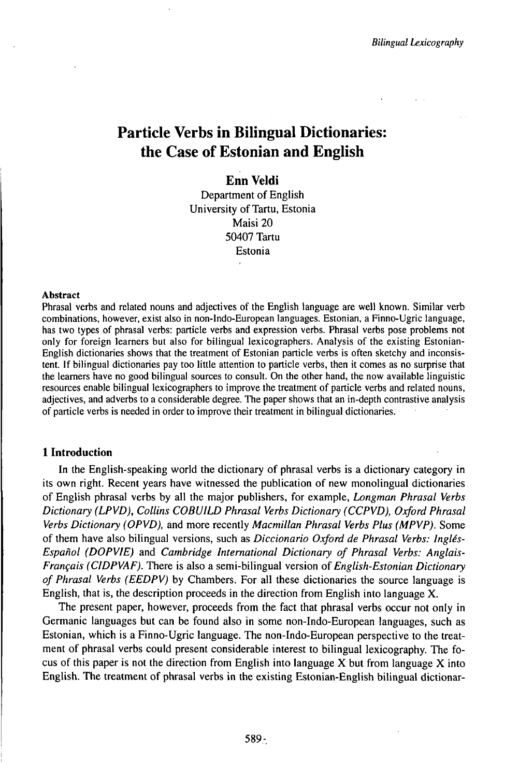# Particle Verbs in Bilingual Dictionaries: the Case of Estonian and English

# **Enn Veldi**

Department of English University of Tartu, Estonia Maisi 20 50407 Tartu Estonia

#### Abstract

Phrasal verbs and related nouns and adjectives of the English language are well known. Similar verb combinations, however, exist also in non-Indo-European languages. Estonian, a Finno-Ugric language, has two types of phrasal verbs: particle verbs and expression verbs. Phrasal verbs pose problems not only for foreign learners but also for bilingual lexicographers. Analysis of the existing Estonian-English dictionaries shows that the treatment of Estonian particle verbs is often sketchy and inconsistent. Ifbilingual dictionaries pay too little attention to particle verbs, then it comes as no surprise that the learners have no good bilingual sources to consult. On the other hand, the now available linguistic resources enable bilingual lexicographers to improve the treatment of particle verbs and related nouns, adjectives, and adverbs to a considerable degree. The paper shows that an in-depth contrastive analysis of particle verbs is needed in order to improve their treatment in bilingual dictionaries.

### **1 Introduction**

In the English-speaking world the dictionary of phrasal verbs is a dictionary category in its own right. Recent years have witnessed the publication of new monolingual dictionaries of English phrasal verbs by all the major publishers, for example, *Longman Phrasal Verbs Dictionary (LPVD), Collins COBUILD Phrasal Verbs Dictionary (CCPVD), Oxford Phrasal Verbs Dictionary (OPVD),* and more recently *Macmillan Phrasal Verbs Plus (MPVP).* Some of them have also bilingual versions, such as *Diccionario Oxford de Phrasal Verbs: Inglés-Español (DOPVIE)* and *Cambridge International Dictionary of Phrasal Verbs: Anglais-Français (CIDPVAF).* There is also a semi-bilingual version of *English-Estonian Dictionary of Phrasal Verbs (EEDPV)* by Chambers. For all these dictionaries the source language is English, that is, the description proceeds in the direction from English into language X.

The present paper, however, proceeds from the fact that phrasal verbs occur not only in Germanic languages but can be found also in some non-Indo-European languages, such as Estonian, which is a Finno-Ugric language. The non-Indo-European perspective to the treatment of phrasal verbs could present considerable interest to bilingual lexicography. The focus of this paper is not the direction from English into language  $X$  but from language  $X$  into English. The treatment of phrasal verbs in the existing Estonian-English bilingual dictionar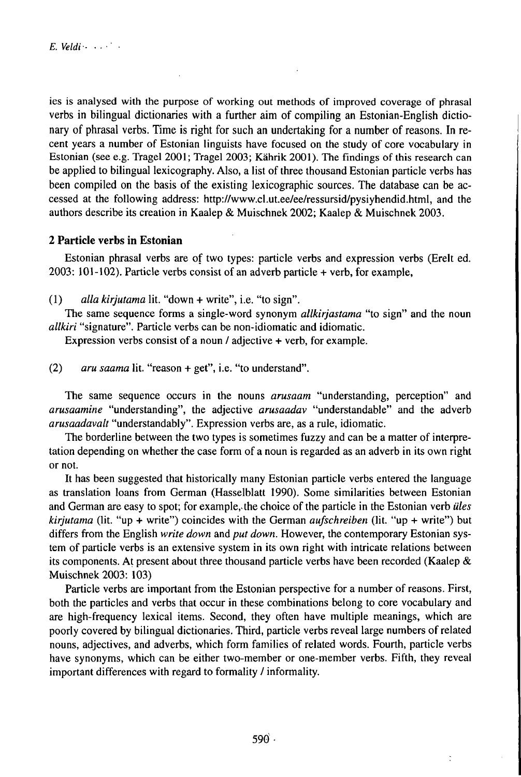ies is analysed with the purpose of working out methods of improved coverage of phrasal verbs in bilingual dictionaries with a further aim of compiling an Estonian-English dictionary of phrasal verbs. Time is right for such an undertaking for a number of reasons. In recent years a number of Estonian linguists have focused on the study of core vocabulary in Estonian (see e.g. Tragel 2001; Tragel 2003; Kährik 2001). The findings ofthis research can be applied to bilingual lexicography. Also, a list of three thousand Estonian particle verbs has been compiled on the basis of the existing lexicographic sources. The database can be accessed at the following address: http://www.cl.ut.ee/ee/ressursid/pysiyhendid.html, and the authors describe its creation in Kaalep & Muischnek 2002; Kaalep & Muischnek 2003.

# **2 Particle verbs in Estonian**

Estonian phrasal verbs are of two types: particle verbs and expression verbs (Erelt ed.  $2003: 101-102$ ). Particle verbs consist of an adverb particle  $+$  verb, for example,

(1) *alla kirjutama* lit. "down + write", i.e. "to sign".

The same sequence forms a single-word synonym *allkirjastama* "to sign" and the noun *allkiri* "signature". Particle verbs can be non-idiomatic and idiomatic.

Expression verbs consist of a noun / adjective + verb, for example.

(2) *aru saama* lit. "reason + get", i.e. "to understand".

The same sequence occurs in the nouns *arusaam* "understanding, perception" and *arusaamine* "understanding", the adjective *arusaadav* "understandable" and the adverb *arusaadavalt* "understandably". Expression verbs are, as a rule, idiomatic.

The borderline between the two types is sometimes fuzzy and can be a matter of interpretation depending on whether the case form of a noun is regarded as an adverb in its own right or not.

It has been suggested that historically many Estonian particle verbs entered the language as translation loans from German (Hasselblatt 1990). Some similarities between Estonian and German are easy to spot; for example, the choice of the particle in the Estonian verb *üles kirjutama* (lit. "up + write") coincides with the German *aufschreiben* (lit. "up + write") but differs from the English *write down* and *put down.* However, the contemporary Estonian system of particle verbs is an extensive system in its own right with intricate relations between its components. At present about three thousand particle verbs have been recorded (Kaalep & Muischnek 2003: 103)

Particle verbs are important from the Estonian perspective for a number of reasons. First, both the particles and verbs that occur in these combinations belong to core vocabulary and are high-frequency lexical items. Second, they often have multiple meanings, which are poorly covered by bilingual dictionaries. Third, particle verbs reveal large numbers of related nouns, adjectives, and adverbs, which form families of related words. Fourth, particle verbs have synonyms, which can be either two-member or one-member verbs. Fifth, they reveal important differences with regard to formality / informality.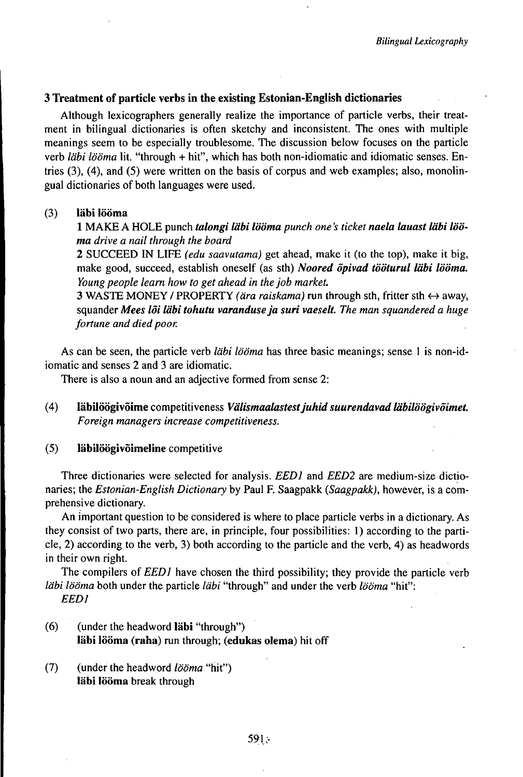## **3 Treatment of particle verbs in the existing Estonian-English dictionaries**

Although lexicographers generally realize the importance of particle verbs, their treatment in bilingual dictionaries is often sketchy and inconsistent. The ones with multiple meanings seem to be especially troublesome. The discussion below focuses on the particle verb *läbi lööma* lit. "through + hit", which has both non-idiomatic and idiomatic senses. Entries (3), (4), and (5) were written on the basis of corpus and web examples; also, monolingual dictionaries of both languages were used.

#### (3) **läbi lööma**

<sup>1</sup> MAKE <sup>A</sup> HOLE punch *talongi••lööma punch one's ticket naela lauast läbi lööma drive a nail through the board*

*2* SUCCEED IN LIFE *(edu saavutama)* get ahead, make it (to the top), make it big, make good, succeed, establish oneself (as sth) *Noored öpivad tööturul ••lööma. Young people learn how to get ahead in thejob market.*

3 WASTE MONEY / PROPERTY *(ära raiskama)* run through sth, fritter sth <^ away, squander *Mees löi läbi tohutu varanduseja suri vaeseU. The man squandered a huge fortune and died poor.*

As can be seen, the particle verb *läbi lööma* has three basic meanings; sense <sup>1</sup> is non-idiomatic and senses 2 and 3 are idiomatic.

There is also a noun and an adjective formed from sense 2:

(4) **läbilöögivoime** competitiveness *VäUsmaaUistestjuhid suurendavad Uibilöögivöimet. Foreign managers increase competitiveness.*

## **(5) läbilöögivöimeline** competitive

Three dictionaries were selected for analysis. *EED1* and *EED2* are medium-size dictionaries; the *Estonian-English Dictionary* by Paul F. Saagpakk *(Saagpakk),* however, is a comprehensive dictionary.

An important question to be considered is where to place particle verbs in a dictionary. As they consist of two parts, there are, in principle, four possibilities: 1) according to the particle, 2) according to the verb, 3) both according to the particle and the verb, 4) as headwords in their own right.

The compilers of *EED1* have chosen the third possibility; they provide the particle verb *läbi lööma* both under the particle *läbi* "through" and under the verb *lööma* "hit": *EED1*

- (6) (under the headword **läbi** "through") **läbi lööma (raha)** run through; **(edukas olema)** hit off
- (7) (under the headword *lööma* "hit") **läbi lööma** break through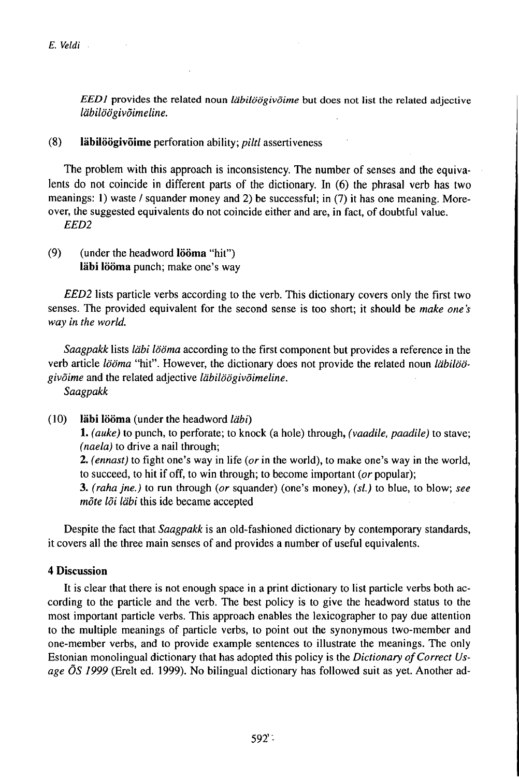*EED1* provides the related noun *läbilöögivöime* but does not list the related adjective *läbilöögivöimeline.*

(8) **läbilöögivöime** perforation ability; *piltl* assertiveness

The problem with this approach is inconsistency. The number of senses and the equivalents do not coincide in different parts of the dictionary. In (6) the phrasal verb has two meanings: 1) waste / squander money and 2) be successful; in (7) it has one meaning. Moreover, the suggested equivalents do not coincide either and are, in fact, of doubtful value. *EED2*

(9) (under the headword **Iööma "hit") läbi lööma** punch; make one's way

*EED2* lists particle verbs according to the verb. This dictionary covers only the first two senses. The provided equivalent for the second sense is too short; it should be *make one 's way in the world.*

*Saagpakk* lists *läbi lööma* according to the first component but provides a reference in the verb article *lööma* "hit". However, the dictionary does not provide the related noun *läbilöögivöime* and the related adjective *läbilöögivöimeline.*

*Saagpakk* 

(10) **läbi lööma** (under the headword *läbi)* 1. *(auke)* to punch, to perforate; to knock (a hole) through, *(vaadile, paadile)* to stave; *(naela)* to drive a nail through; *2. (ennast)* to fight one's way in life *(or* in the world), to make one's way in the world, to succeed, to hit if off, to win through; to become important *(or* popular);

3. *(rahajne.)* to run through *(or* squander) (one's money), *(sl.)* to blue, to blow; *see möte löi läbi* this ide became accepted

Despite the fact that *Saagpakk* is an old-fashioned dictionary by contemporary standards, it covers all the three main senses of and provides a number of useful equivalents.

# **4 Discussion**

It is clear that there is not enough space in a print dictionary to list particle verbs both according to the particle and the verb. The best policy is to give the headword status to the most important particle verbs. This approach enables the lexicographer to pay due attention to the multiple meanings of particle verbs, to point out the synonymous two-member and one-member verbs, and to provide example sentences to illustrate the meanings. The only Estonian monolingual dictionary that has adopted this policy is the *Dictionary of Correct Usage ÖS 1999* (Erelt ed. 1999). No bilingual dictionary has followed suit as yet. Another ad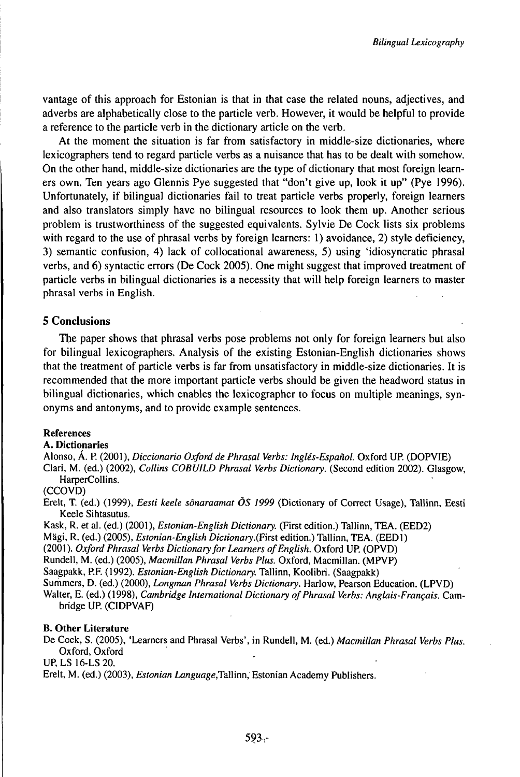vantage of this approach for Estonian is that in that case the related nouns, adjectives, and adverbs are alphabetically close to the particle verb. However, it would be helpful to provide a reference to the particle verb in the dictionary article on the verb.

At the moment the situation is far from satisfactory in middle-size dictionaries, where lexicographers tend to regard particle verbs as a nuisance that has to be dealt with somehow. On the other hand, middle-size dictionaries are the type of dictionary that most foreign learners own. Ten years ago Glennis Pye suggested that "don't give up, look it up" (Pye 1996). Unfortunately, if bilingual dictionaries fail to treat particle verbs properly, foreign learners and also translators simply have no bilingual resources to look them up. Another serious problem is trustworthiness of the suggested equivalents. Sylvie De Cock lists six problems with regard to the use of phrasal verbs by foreign learners: 1) avoidance, 2) style deficiency, 3) semantic confusion, 4) lack of collocational awareness, 5) using 'idiosyncratic phrasal verbs, and 6) syntactic errors (De Cock 2005). One might suggest that improved treatment of particle verbs in bilingual dictionaries is a necessity that will help foreign learners to master phrasal verbs in English.

## **5 Conclusions**

The paper shows that phrasal verbs pose problems not only for foreign learners but also for bilingual lexicographers. Analysis of the existing Estonian-English dictionaries shows that the treatment of particle verbs is far from unsatisfactory in middle-size dictionaries. It is recommended that the more important particle verbs should be given the headword status in bilingual dictionaries, which enables the lexicographer to focus on multiple meanings, synonyms and antonyms, and to provide example sentences.

#### **References**

### **A. Dictionaries**

Alonso, Á. P. (2001), *Diccionario Oxfordde Phrasal Verbs: Inglés-Español.* Oxford UP. (DOPVIE)

Clari, M. (ed.) (2002), *Collins COBUILD Phrasal Verbs Dictionary.* (Second edition 2002). Glasgow, HarperCollins.

### (CCOVD)

Erelt, T. (ed.) (1999), *Eesti keele sönaraamat ÖS 1999* (Dictionary of Correct Usage), Tallinn, Eesti Keele Sihtasutus.

Kask, R. et al. (ed.) (2001), *Estonian-English Dictionary.* (First edition.) Tallinn, TEA. (EED2)

Mägi, R. (ed.) (2005), *Estonian-English Dictionary.(First* edition.) Tallinn, TEA. (EED1)

(2001 ). *Oxford Phrasal Verbs Dictionaryfor Learners ofEnglish.* Oxford UP. (OPVD)

Rundell, M. (ed.) (2005), *Macmillan Phrasal Verbs Plus.* Oxford, Macmillan. (MPVP)

Saagpakk, P.F. (1992). *Estonian-English Dictionary.* Tallinn, Koolibri. (Saagpakk)

Summers, D. (ed.) (2000), *Longman Phrasal Verbs Dictionary.* Harlow, Pearson Education. (LPVD)

Walter, E. (ed.) (1998), *Cambridge international Dictionary ofPhrasal Verbs: Anglais-Français.* Cambridge UP. (CIDPVAF)

#### **B. Other Literature**

De Cock, S. (2005), 'Learners and Phrasal Verbs', in Rundell, M. (ed.) *Macmillan Phrasal Verbs Plus.* Oxford, Oxford

UP, LS 16-LS 20.

Erelt, M. (ed.) (2003), *Estonian Language,Tallinn,* Estonian Academy Publishers.